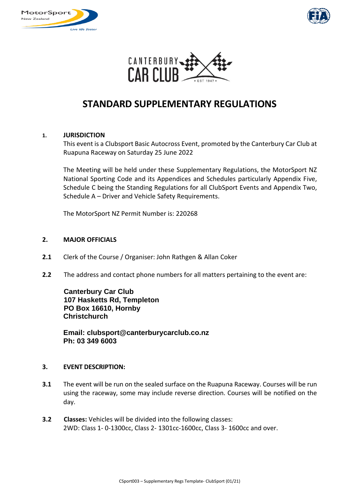





# **STANDARD SUPPLEMENTARY REGULATIONS**

## **1. JURISDICTION**

This event is a Clubsport Basic Autocross Event, promoted by the Canterbury Car Club at Ruapuna Raceway on Saturday 25 June 2022

The Meeting will be held under these Supplementary Regulations, the MotorSport NZ National Sporting Code and its Appendices and Schedules particularly Appendix Five, Schedule C being the Standing Regulations for all ClubSport Events and Appendix Two, Schedule A – Driver and Vehicle Safety Requirements.

The MotorSport NZ Permit Number is: 220268

## **2. MAJOR OFFICIALS**

- **2.1** Clerk of the Course / Organiser: John Rathgen & Allan Coker
- **2.2** The address and contact phone numbers for all matters pertaining to the event are:

**Canterbury Car Club 107 Hasketts Rd, Templeton PO Box 16610, Hornby Christchurch**

**Email: clubsport@canterburycarclub.co.nz Ph: 03 349 6003**

#### **3. EVENT DESCRIPTION:**

- **3.1** The event will be run on the sealed surface on the Ruapuna Raceway. Courses will be run using the raceway, some may include reverse direction. Courses will be notified on the day.
- **3.2 Classes:** Vehicles will be divided into the following classes: 2WD: Class 1- 0-1300cc, Class 2- 1301cc-1600cc, Class 3- 1600cc and over.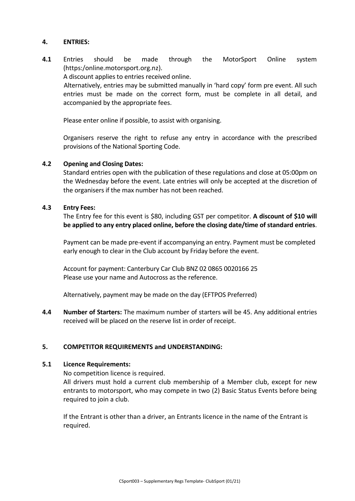## **4. ENTRIES:**

**4.1** Entries should be made through the MotorSport Online system [\(https:/online.motorsport.org.nz\)](https://online.motorsport.org.nz/).

A discount applies to entries received online.

Alternatively, entries may be submitted manually in 'hard copy' form pre event. All such entries must be made on the correct form, must be complete in all detail, and accompanied by the appropriate fees.

Please enter online if possible, to assist with organising.

Organisers reserve the right to refuse any entry in accordance with the prescribed provisions of the National Sporting Code.

## **4.2 Opening and Closing Dates:**

Standard entries open with the publication of these regulations and close at 05:00pm on the Wednesday before the event. Late entries will only be accepted at the discretion of the organisers if the max number has not been reached.

## **4.3 Entry Fees:**

The Entry fee for this event is \$80, including GST per competitor. **A discount of \$10 will be applied to any entry placed online, before the closing date/time of standard entries**.

Payment can be made pre-event if accompanying an entry. Payment must be completed early enough to clear in the Club account by Friday before the event.

Account for payment: Canterbury Car Club BNZ 02 0865 0020166 25 Please use your name and Autocross as the reference.

Alternatively, payment may be made on the day (EFTPOS Preferred)

**4.4 Number of Starters:** The maximum number of starters will be 45. Any additional entries received will be placed on the reserve list in order of receipt.

# **5. COMPETITOR REQUIREMENTS and UNDERSTANDING:**

## **5.1 Licence Requirements:**

No competition licence is required.

All drivers must hold a current club membership of a Member club, except for new entrants to motorsport, who may compete in two (2) Basic Status Events before being required to join a club.

If the Entrant is other than a driver, an Entrants licence in the name of the Entrant is required.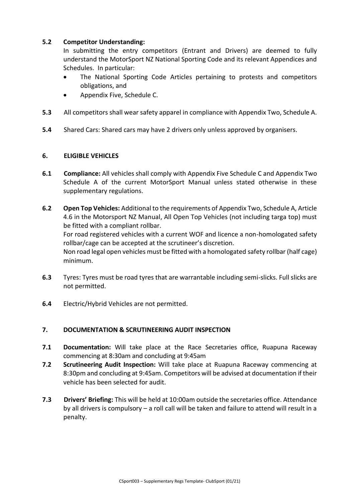# **5.2 Competitor Understanding:**

In submitting the entry competitors (Entrant and Drivers) are deemed to fully understand the MotorSport NZ National Sporting Code and its relevant Appendices and Schedules. In particular:

- The National Sporting Code Articles pertaining to protests and competitors obligations, and
- Appendix Five, Schedule C.
- **5.3** All competitors shall wear safety apparel in compliance with Appendix Two, Schedule A.
- **5.4** Shared Cars: Shared cars may have 2 drivers only unless approved by organisers.

## **6. ELIGIBLE VEHICLES**

- **6.1 Compliance:** All vehicles shall comply with Appendix Five Schedule C and Appendix Two Schedule A of the current MotorSport Manual unless stated otherwise in these supplementary regulations.
- **6.2 Open Top Vehicles:** Additional to the requirements of Appendix Two, Schedule A, Article 4.6 in the Motorsport NZ Manual, All Open Top Vehicles (not including targa top) must be fitted with a compliant rollbar. For road registered vehicles with a current WOF and licence a non-homologated safety rollbar/cage can be accepted at the scrutineer's discretion. Non road legal open vehicles must be fitted with a homologated safety rollbar (half cage) minimum.
- **6.3** Tyres: Tyres must be road tyres that are warrantable including semi-slicks. Full slicks are not permitted.
- **6.4** Electric/Hybrid Vehicles are not permitted.

## **7. DOCUMENTATION & SCRUTINEERING AUDIT INSPECTION**

- **7.1 Documentation:** Will take place at the Race Secretaries office, Ruapuna Raceway commencing at 8:30am and concluding at 9:45am
- **7.2 Scrutineering Audit Inspection:** Will take place at Ruapuna Raceway commencing at 8:30pm and concluding at 9:45am. Competitors will be advised at documentation if their vehicle has been selected for audit.
- **7.3 Drivers' Briefing:** This will be held at 10:00am outside the secretaries office. Attendance by all drivers is compulsory – a roll call will be taken and failure to attend will result in a penalty.